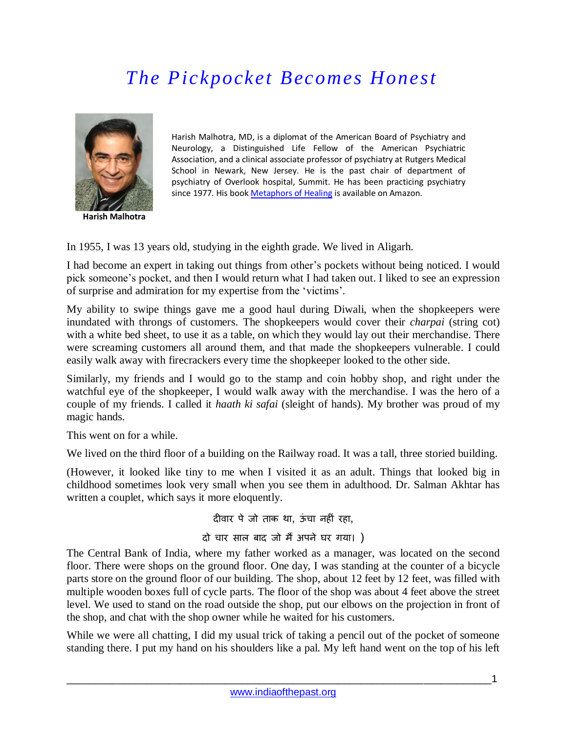## *The Pickpocket Becomes Honest*



**Harish Malhotra**

Harish Malhotra, MD, is a diplomat of the American Board of Psychiatry and Neurology, a Distinguished Life Fellow of the American Psychiatric Association, and a clinical associate professor of psychiatry at Rutgers Medical School in Newark, New Jersey. He is the past chair of department of psychiatry of Overlook hospital, Summit. He has been practicing psychiatry since 1977. His boo[k Metaphors of Healing](http://www.amazon.com/Metaphors-Healing-Language-Psychotherapy-Everyday/dp/0761863516) is available on Amazon.

In 1955, I was 13 years old, studying in the eighth grade. We lived in Aligarh.

I had become an expert in taking out things from other's pockets without being noticed. I would pick someone's pocket, and then I would return what I had taken out. I liked to see an expression of surprise and admiration for my expertise from the 'victims'.

My ability to swipe things gave me a good haul during Diwali, when the shopkeepers were inundated with throngs of customers. The shopkeepers would cover their *charpai* (string cot) with a white bed sheet, to use it as a table, on which they would lay out their merchandise. There were screaming customers all around them, and that made the shopkeepers vulnerable. I could easily walk away with firecrackers every time the shopkeeper looked to the other side.

Similarly, my friends and I would go to the stamp and coin hobby shop, and right under the watchful eye of the shopkeeper, I would walk away with the merchandise. I was the hero of a couple of my friends. I called it *haath ki safai* (sleight of hands). My brother was proud of my magic hands.

This went on for a while.

We lived on the third floor of a building on the Railway road. It was a tall, three storied building.

(However, it looked like tiny to me when I visited it as an adult. Things that looked big in childhood sometimes look very small when you see them in adulthood. Dr. Salman Akhtar has written a couplet, which says it more eloquently.

दीवार पे जो ताक था, ऊंचा नहीं रहा,

## दो चार साल बाद जो मैं अपने घर गया। )

The Central Bank of India, where my father worked as a manager, was located on the second floor. There were shops on the ground floor. One day, I was standing at the counter of a bicycle parts store on the ground floor of our building. The shop, about 12 feet by 12 feet, was filled with multiple wooden boxes full of cycle parts. The floor of the shop was about 4 feet above the street level. We used to stand on the road outside the shop, put our elbows on the projection in front of the shop, and chat with the shop owner while he waited for his customers.

While we were all chatting, I did my usual trick of taking a pencil out of the pocket of someone standing there. I put my hand on his shoulders like a pal. My left hand went on the top of his left

\_\_\_\_\_\_\_\_\_\_\_\_\_\_\_\_\_\_\_\_\_\_\_\_\_\_\_\_\_\_\_\_\_\_\_\_\_\_\_\_\_\_\_\_\_\_\_\_\_\_\_\_\_\_\_\_\_\_\_\_\_\_\_\_\_\_\_\_\_\_\_\_\_\_\_1